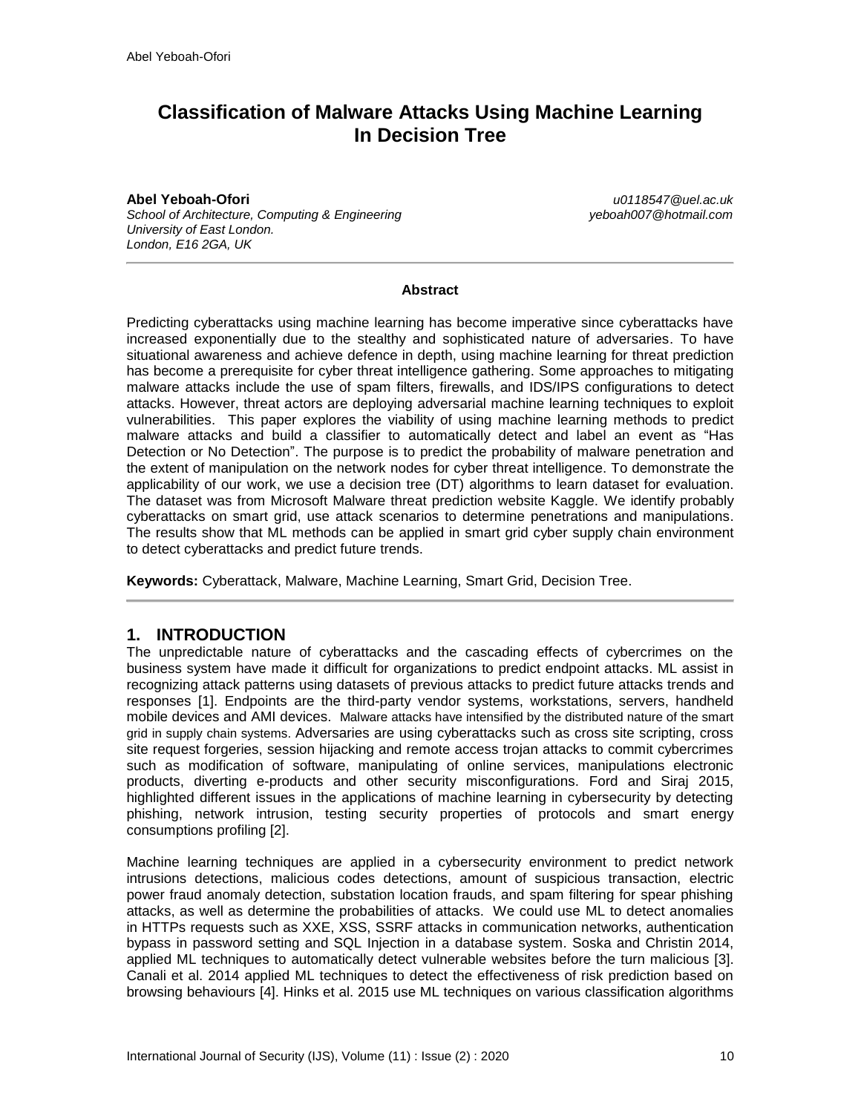# **Classification of Malware Attacks Using Machine Learning In Decision Tree**

**Abel Yeboah-Ofori** *u0118547@uel.ac.uk School of Architecture, Computing & Engineering yeboah007@hotmail.com University of East London. London, E16 2GA, UK*

#### **Abstract**

Predicting cyberattacks using machine learning has become imperative since cyberattacks have increased exponentially due to the stealthy and sophisticated nature of adversaries. To have situational awareness and achieve defence in depth, using machine learning for threat prediction has become a prerequisite for cyber threat intelligence gathering. Some approaches to mitigating malware attacks include the use of spam filters, firewalls, and IDS/IPS configurations to detect attacks. However, threat actors are deploying adversarial machine learning techniques to exploit vulnerabilities. This paper explores the viability of using machine learning methods to predict malware attacks and build a classifier to automatically detect and label an event as "Has Detection or No Detection". The purpose is to predict the probability of malware penetration and the extent of manipulation on the network nodes for cyber threat intelligence. To demonstrate the applicability of our work, we use a decision tree (DT) algorithms to learn dataset for evaluation. The dataset was from Microsoft Malware threat prediction website Kaggle. We identify probably cyberattacks on smart grid, use attack scenarios to determine penetrations and manipulations. The results show that ML methods can be applied in smart grid cyber supply chain environment to detect cyberattacks and predict future trends.

**Keywords:** Cyberattack, Malware, Machine Learning, Smart Grid, Decision Tree.

### **1. INTRODUCTION**

The unpredictable nature of cyberattacks and the cascading effects of cybercrimes on the business system have made it difficult for organizations to predict endpoint attacks. ML assist in recognizing attack patterns using datasets of previous attacks to predict future attacks trends and responses [1]. Endpoints are the third-party vendor systems, workstations, servers, handheld mobile devices and AMI devices. Malware attacks have intensified by the distributed nature of the smart grid in supply chain systems. Adversaries are using cyberattacks such as cross site scripting, cross site request forgeries, session hijacking and remote access trojan attacks to commit cybercrimes such as modification of software, manipulating of online services, manipulations electronic products, diverting e-products and other security misconfigurations. Ford and Siraj 2015, highlighted different issues in the applications of machine learning in cybersecurity by detecting phishing, network intrusion, testing security properties of protocols and smart energy consumptions profiling [2].

Machine learning techniques are applied in a cybersecurity environment to predict network intrusions detections, malicious codes detections, amount of suspicious transaction, electric power fraud anomaly detection, substation location frauds, and spam filtering for spear phishing attacks, as well as determine the probabilities of attacks. We could use ML to detect anomalies in HTTPs requests such as XXE, XSS, SSRF attacks in communication networks, authentication bypass in password setting and SQL Injection in a database system. Soska and Christin 2014, applied ML techniques to automatically detect vulnerable websites before the turn malicious [3]. Canali et al. 2014 applied ML techniques to detect the effectiveness of risk prediction based on browsing behaviours [4]. Hinks et al. 2015 use ML techniques on various classification algorithms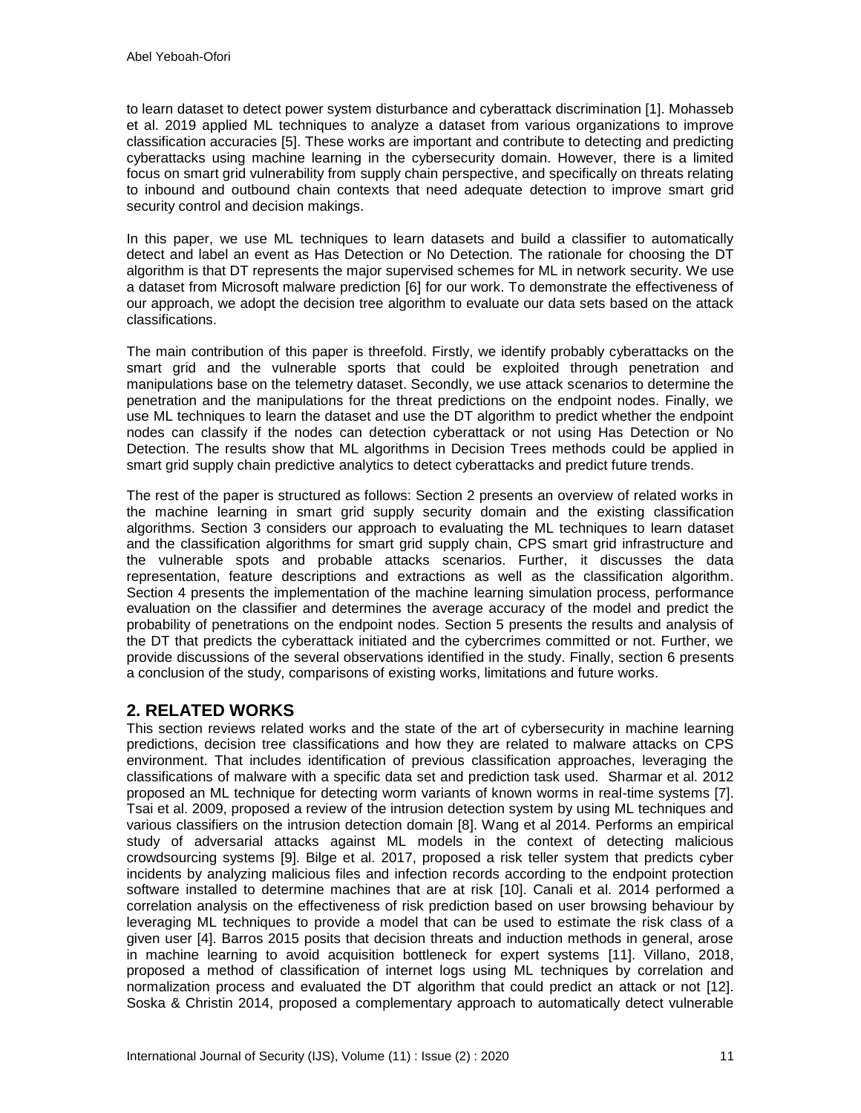to learn dataset to detect power system disturbance and cyberattack discrimination [1]. Mohasseb et al. 2019 applied ML techniques to analyze a dataset from various organizations to improve classification accuracies [5]. These works are important and contribute to detecting and predicting cyberattacks using machine learning in the cybersecurity domain. However, there is a limited focus on smart grid vulnerability from supply chain perspective, and specifically on threats relating to inbound and outbound chain contexts that need adequate detection to improve smart grid security control and decision makings.

In this paper, we use ML techniques to learn datasets and build a classifier to automatically detect and label an event as Has Detection or No Detection. The rationale for choosing the DT algorithm is that DT represents the major supervised schemes for ML in network security. We use a dataset from Microsoft malware prediction [6] for our work. To demonstrate the effectiveness of our approach, we adopt the decision tree algorithm to evaluate our data sets based on the attack classifications.

The main contribution of this paper is threefold. Firstly, we identify probably cyberattacks on the smart grid and the vulnerable sports that could be exploited through penetration and manipulations base on the telemetry dataset. Secondly, we use attack scenarios to determine the penetration and the manipulations for the threat predictions on the endpoint nodes. Finally, we use ML techniques to learn the dataset and use the DT algorithm to predict whether the endpoint nodes can classify if the nodes can detection cyberattack or not using Has Detection or No Detection. The results show that ML algorithms in Decision Trees methods could be applied in smart grid supply chain predictive analytics to detect cyberattacks and predict future trends.

The rest of the paper is structured as follows: Section 2 presents an overview of related works in the machine learning in smart grid supply security domain and the existing classification algorithms. Section 3 considers our approach to evaluating the ML techniques to learn dataset and the classification algorithms for smart grid supply chain, CPS smart grid infrastructure and the vulnerable spots and probable attacks scenarios. Further, it discusses the data representation, feature descriptions and extractions as well as the classification algorithm. Section 4 presents the implementation of the machine learning simulation process, performance evaluation on the classifier and determines the average accuracy of the model and predict the probability of penetrations on the endpoint nodes. Section 5 presents the results and analysis of the DT that predicts the cyberattack initiated and the cybercrimes committed or not. Further, we provide discussions of the several observations identified in the study. Finally, section 6 presents a conclusion of the study, comparisons of existing works, limitations and future works.

# **2. RELATED WORKS**

This section reviews related works and the state of the art of cybersecurity in machine learning predictions, decision tree classifications and how they are related to malware attacks on CPS environment. That includes identification of previous classification approaches, leveraging the classifications of malware with a specific data set and prediction task used. Sharmar et al. 2012 proposed an ML technique for detecting worm variants of known worms in real-time systems [7]. Tsai et al. 2009, proposed a review of the intrusion detection system by using ML techniques and various classifiers on the intrusion detection domain [8]. Wang et al 2014. Performs an empirical study of adversarial attacks against ML models in the context of detecting malicious crowdsourcing systems [9]. Bilge et al. 2017, proposed a risk teller system that predicts cyber incidents by analyzing malicious files and infection records according to the endpoint protection software installed to determine machines that are at risk [10]. Canali et al. 2014 performed a correlation analysis on the effectiveness of risk prediction based on user browsing behaviour by leveraging ML techniques to provide a model that can be used to estimate the risk class of a given user [4]. Barros 2015 posits that decision threats and induction methods in general, arose in machine learning to avoid acquisition bottleneck for expert systems [11]. Villano, 2018, proposed a method of classification of internet logs using ML techniques by correlation and normalization process and evaluated the DT algorithm that could predict an attack or not [12]. Soska & Christin 2014, proposed a complementary approach to automatically detect vulnerable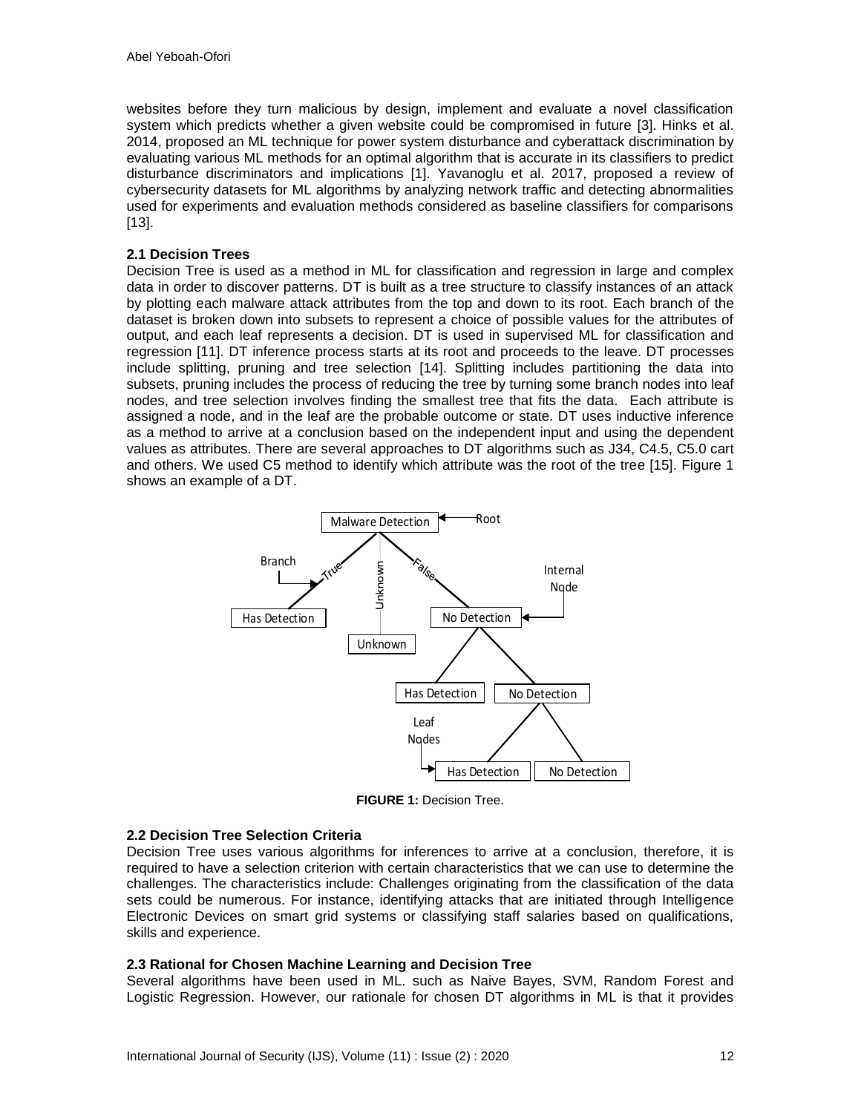websites before they turn malicious by design, implement and evaluate a novel classification system which predicts whether a given website could be compromised in future [3]. Hinks et al. 2014, proposed an ML technique for power system disturbance and cyberattack discrimination by evaluating various ML methods for an optimal algorithm that is accurate in its classifiers to predict disturbance discriminators and implications [1]. Yavanoglu et al. 2017, proposed a review of cybersecurity datasets for ML algorithms by analyzing network traffic and detecting abnormalities used for experiments and evaluation methods considered as baseline classifiers for comparisons [13].

### **2.1 Decision Trees**

Decision Tree is used as a method in ML for classification and regression in large and complex data in order to discover patterns. DT is built as a tree structure to classify instances of an attack by plotting each malware attack attributes from the top and down to its root. Each branch of the dataset is broken down into subsets to represent a choice of possible values for the attributes of output, and each leaf represents a decision. DT is used in supervised ML for classification and regression [11]. DT inference process starts at its root and proceeds to the leave. DT processes include splitting, pruning and tree selection [14]. Splitting includes partitioning the data into subsets, pruning includes the process of reducing the tree by turning some branch nodes into leaf nodes, and tree selection involves finding the smallest tree that fits the data. Each attribute is assigned a node, and in the leaf are the probable outcome or state. DT uses inductive inference as a method to arrive at a conclusion based on the independent input and using the dependent values as attributes. There are several approaches to DT algorithms such as J34, C4.5, C5.0 cart and others. We used C5 method to identify which attribute was the root of the tree [15]. Figure 1 shows an example of a DT.



**FIGURE 1:** Decision Tree.

#### **2.2 Decision Tree Selection Criteria**

Decision Tree uses various algorithms for inferences to arrive at a conclusion, therefore, it is required to have a selection criterion with certain characteristics that we can use to determine the challenges. The characteristics include: Challenges originating from the classification of the data sets could be numerous. For instance, identifying attacks that are initiated through Intelligence Electronic Devices on smart grid systems or classifying staff salaries based on qualifications, skills and experience.

#### **2.3 Rational for Chosen Machine Learning and Decision Tree**

Several algorithms have been used in ML. such as Naive Bayes, SVM, Random Forest and Logistic Regression. However, our rationale for chosen DT algorithms in ML is that it provides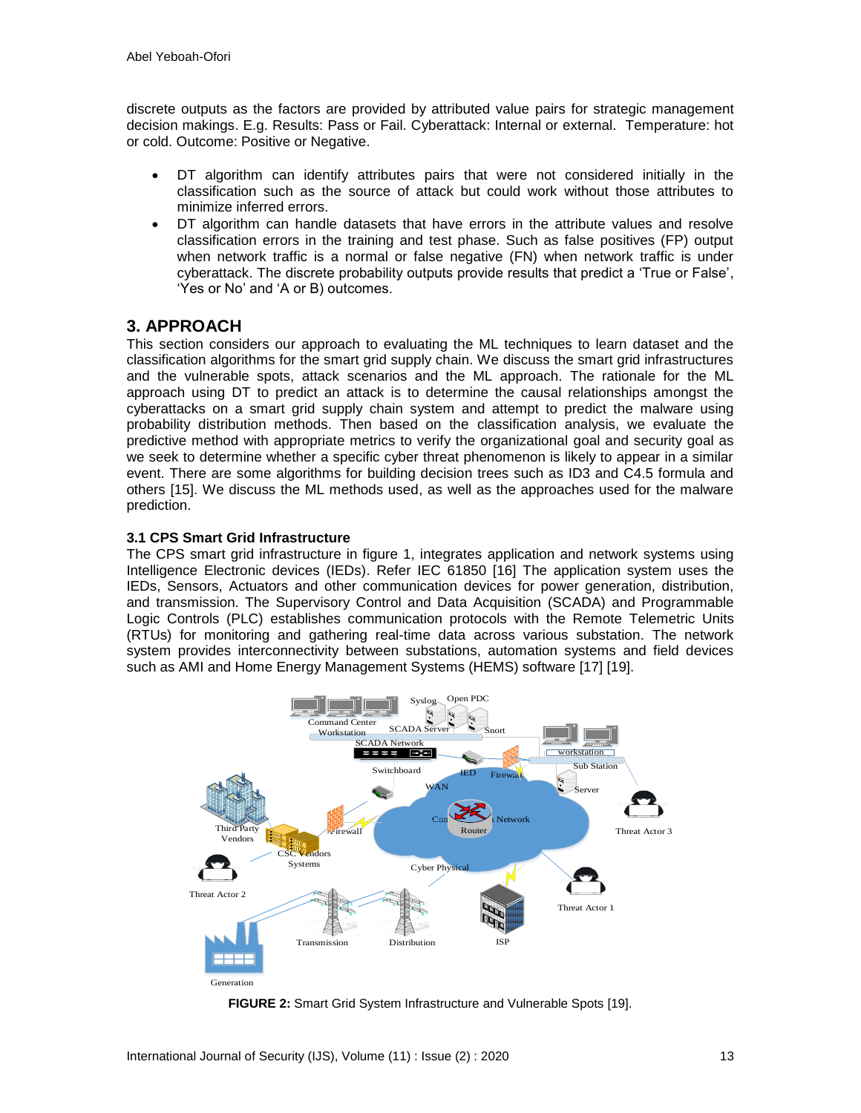discrete outputs as the factors are provided by attributed value pairs for strategic management decision makings. E.g. Results: Pass or Fail. Cyberattack: Internal or external. Temperature: hot or cold. Outcome: Positive or Negative.

- DT algorithm can identify attributes pairs that were not considered initially in the classification such as the source of attack but could work without those attributes to minimize inferred errors.
- DT algorithm can handle datasets that have errors in the attribute values and resolve classification errors in the training and test phase. Such as false positives (FP) output when network traffic is a normal or false negative (FN) when network traffic is under cyberattack. The discrete probability outputs provide results that predict a 'True or False', 'Yes or No' and 'A or B) outcomes.

# **3. APPROACH**

This section considers our approach to evaluating the ML techniques to learn dataset and the classification algorithms for the smart grid supply chain. We discuss the smart grid infrastructures and the vulnerable spots, attack scenarios and the ML approach. The rationale for the ML approach using DT to predict an attack is to determine the causal relationships amongst the cyberattacks on a smart grid supply chain system and attempt to predict the malware using probability distribution methods. Then based on the classification analysis, we evaluate the predictive method with appropriate metrics to verify the organizational goal and security goal as we seek to determine whether a specific cyber threat phenomenon is likely to appear in a similar event. There are some algorithms for building decision trees such as ID3 and C4.5 formula and others [15]. We discuss the ML methods used, as well as the approaches used for the malware prediction.

#### **3.1 CPS Smart Grid Infrastructure**

The CPS smart grid infrastructure in figure 1, integrates application and network systems using Intelligence Electronic devices (IEDs). Refer IEC 61850 [16] The application system uses the IEDs, Sensors, Actuators and other communication devices for power generation, distribution, and transmission. The Supervisory Control and Data Acquisition (SCADA) and Programmable Logic Controls (PLC) establishes communication protocols with the Remote Telemetric Units (RTUs) for monitoring and gathering real-time data across various substation. The network system provides interconnectivity between substations, automation systems and field devices such as AMI and Home Energy Management Systems (HEMS) software [17] [19].



**FIGURE 2:** Smart Grid System Infrastructure and Vulnerable Spots [19].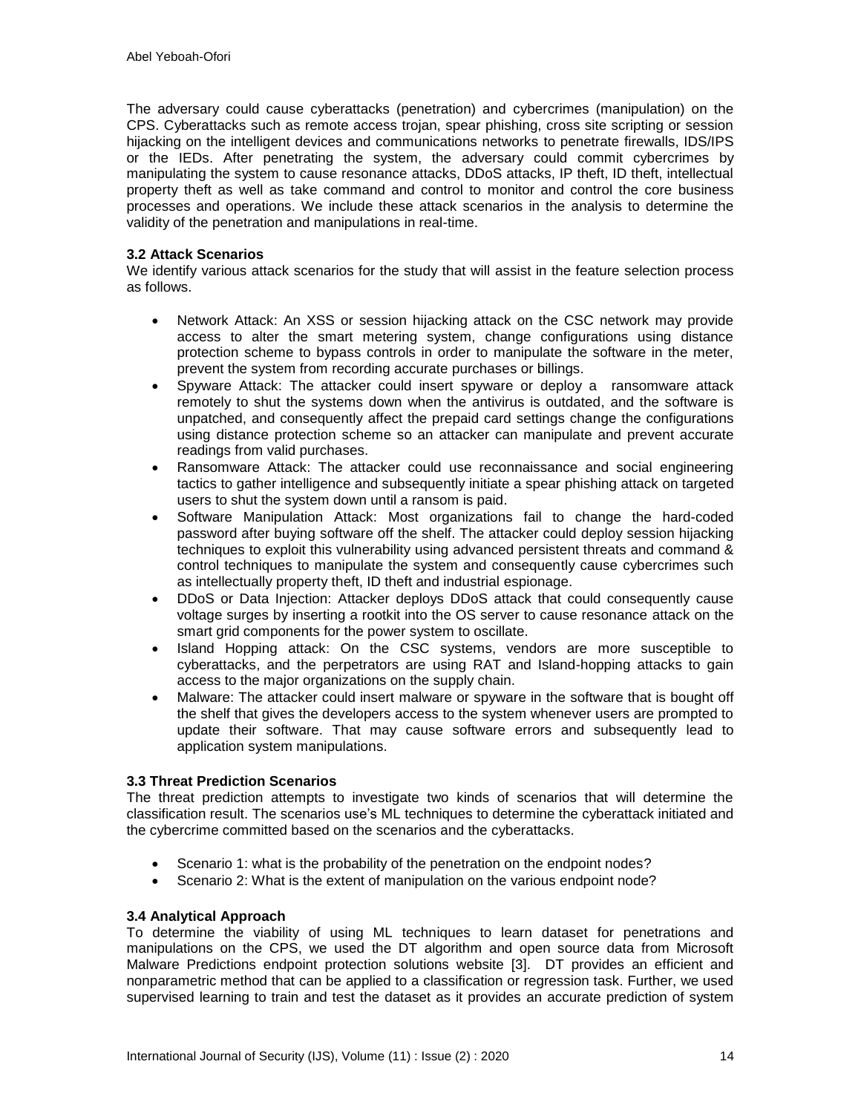The adversary could cause cyberattacks (penetration) and cybercrimes (manipulation) on the CPS. Cyberattacks such as remote access trojan, spear phishing, cross site scripting or session hijacking on the intelligent devices and communications networks to penetrate firewalls, IDS/IPS or the IEDs. After penetrating the system, the adversary could commit cybercrimes by manipulating the system to cause resonance attacks, DDoS attacks, IP theft, ID theft, intellectual property theft as well as take command and control to monitor and control the core business processes and operations. We include these attack scenarios in the analysis to determine the validity of the penetration and manipulations in real-time.

### **3.2 Attack Scenarios**

We identify various attack scenarios for the study that will assist in the feature selection process as follows.

- Network Attack: An XSS or session hijacking attack on the CSC network may provide access to alter the smart metering system, change configurations using distance protection scheme to bypass controls in order to manipulate the software in the meter, prevent the system from recording accurate purchases or billings.
- Spyware Attack: The attacker could insert spyware or deploy a ransomware attack remotely to shut the systems down when the antivirus is outdated, and the software is unpatched, and consequently affect the prepaid card settings change the configurations using distance protection scheme so an attacker can manipulate and prevent accurate readings from valid purchases.
- Ransomware Attack: The attacker could use reconnaissance and social engineering tactics to gather intelligence and subsequently initiate a spear phishing attack on targeted users to shut the system down until a ransom is paid.
- Software Manipulation Attack: Most organizations fail to change the hard-coded password after buying software off the shelf. The attacker could deploy session hijacking techniques to exploit this vulnerability using advanced persistent threats and command & control techniques to manipulate the system and consequently cause cybercrimes such as intellectually property theft, ID theft and industrial espionage.
- DDoS or Data Injection: Attacker deploys DDoS attack that could consequently cause voltage surges by inserting a rootkit into the OS server to cause resonance attack on the smart grid components for the power system to oscillate.
- Island Hopping attack: On the CSC systems, vendors are more susceptible to cyberattacks, and the perpetrators are using RAT and Island-hopping attacks to gain access to the major organizations on the supply chain.
- Malware: The attacker could insert malware or spyware in the software that is bought off the shelf that gives the developers access to the system whenever users are prompted to update their software. That may cause software errors and subsequently lead to application system manipulations.

### **3.3 Threat Prediction Scenarios**

The threat prediction attempts to investigate two kinds of scenarios that will determine the classification result. The scenarios use's ML techniques to determine the cyberattack initiated and the cybercrime committed based on the scenarios and the cyberattacks.

- Scenario 1: what is the probability of the penetration on the endpoint nodes?
- Scenario 2: What is the extent of manipulation on the various endpoint node?

#### **3.4 Analytical Approach**

To determine the viability of using ML techniques to learn dataset for penetrations and manipulations on the CPS, we used the DT algorithm and open source data from Microsoft Malware Predictions endpoint protection solutions website [3]. DT provides an efficient and nonparametric method that can be applied to a classification or regression task. Further, we used supervised learning to train and test the dataset as it provides an accurate prediction of system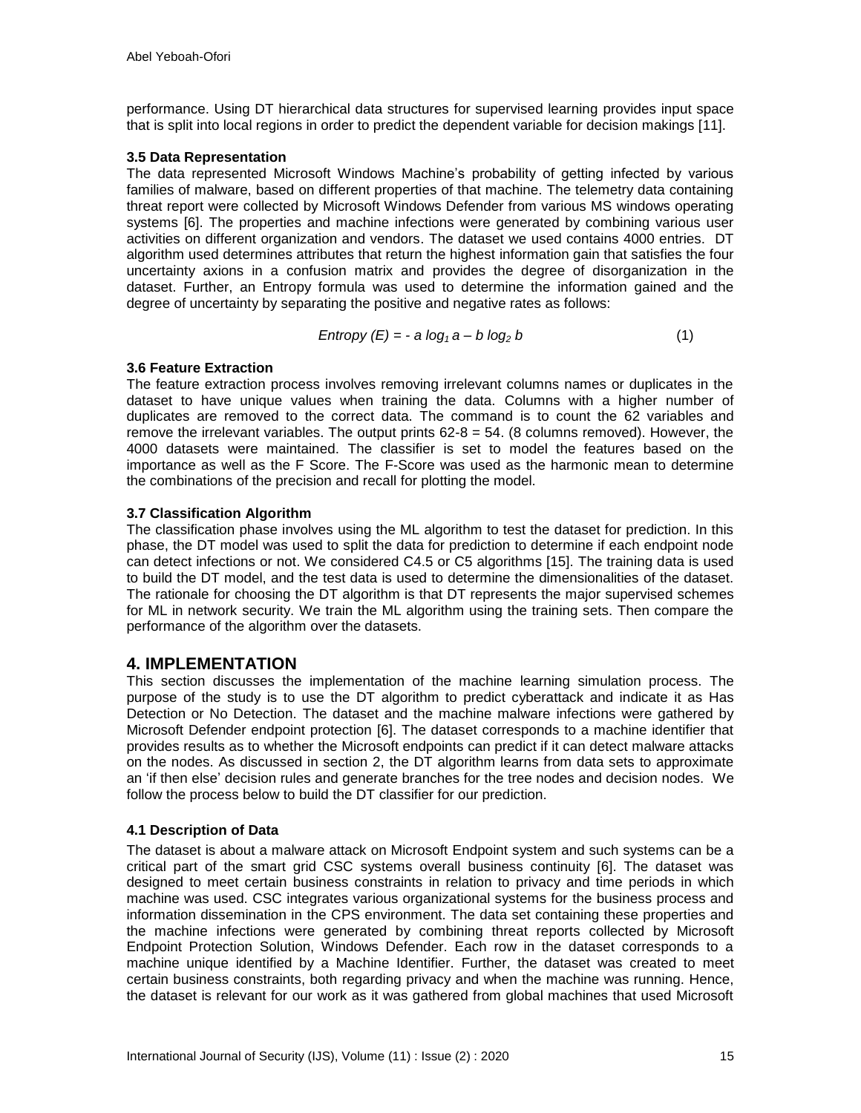performance. Using DT hierarchical data structures for supervised learning provides input space that is split into local regions in order to predict the dependent variable for decision makings [11].

#### **3.5 Data Representation**

The data represented Microsoft Windows Machine's probability of getting infected by various families of malware, based on different properties of that machine. The telemetry data containing threat report were collected by Microsoft Windows Defender from various MS windows operating systems [6]. The properties and machine infections were generated by combining various user activities on different organization and vendors. The dataset we used contains 4000 entries. DT algorithm used determines attributes that return the highest information gain that satisfies the four uncertainty axions in a confusion matrix and provides the degree of disorganization in the dataset. Further, an Entropy formula was used to determine the information gained and the degree of uncertainty by separating the positive and negative rates as follows:

$$
Entropy (E) = -a \log_1 a - b \log_2 b \tag{1}
$$

#### **3.6 Feature Extraction**

The feature extraction process involves removing irrelevant columns names or duplicates in the dataset to have unique values when training the data. Columns with a higher number of duplicates are removed to the correct data. The command is to count the 62 variables and remove the irrelevant variables. The output prints  $62-8 = 54$ . (8 columns removed). However, the 4000 datasets were maintained. The classifier is set to model the features based on the importance as well as the F Score. The F-Score was used as the harmonic mean to determine the combinations of the precision and recall for plotting the model.

#### **3.7 Classification Algorithm**

The classification phase involves using the ML algorithm to test the dataset for prediction. In this phase, the DT model was used to split the data for prediction to determine if each endpoint node can detect infections or not. We considered C4.5 or C5 algorithms [15]. The training data is used to build the DT model, and the test data is used to determine the dimensionalities of the dataset. The rationale for choosing the DT algorithm is that DT represents the major supervised schemes for ML in network security. We train the ML algorithm using the training sets. Then compare the performance of the algorithm over the datasets.

### **4. IMPLEMENTATION**

This section discusses the implementation of the machine learning simulation process. The purpose of the study is to use the DT algorithm to predict cyberattack and indicate it as Has Detection or No Detection. The dataset and the machine malware infections were gathered by Microsoft Defender endpoint protection [6]. The dataset corresponds to a machine identifier that provides results as to whether the Microsoft endpoints can predict if it can detect malware attacks on the nodes. As discussed in section 2, the DT algorithm learns from data sets to approximate an 'if then else' decision rules and generate branches for the tree nodes and decision nodes. We follow the process below to build the DT classifier for our prediction.

#### **4.1 Description of Data**

The dataset is about a malware attack on Microsoft Endpoint system and such systems can be a critical part of the smart grid CSC systems overall business continuity [6]. The dataset was designed to meet certain business constraints in relation to privacy and time periods in which machine was used. CSC integrates various organizational systems for the business process and information dissemination in the CPS environment. The data set containing these properties and the machine infections were generated by combining threat reports collected by Microsoft Endpoint Protection Solution, Windows Defender. Each row in the dataset corresponds to a machine unique identified by a Machine Identifier. Further, the dataset was created to meet certain business constraints, both regarding privacy and when the machine was running. Hence, the dataset is relevant for our work as it was gathered from global machines that used Microsoft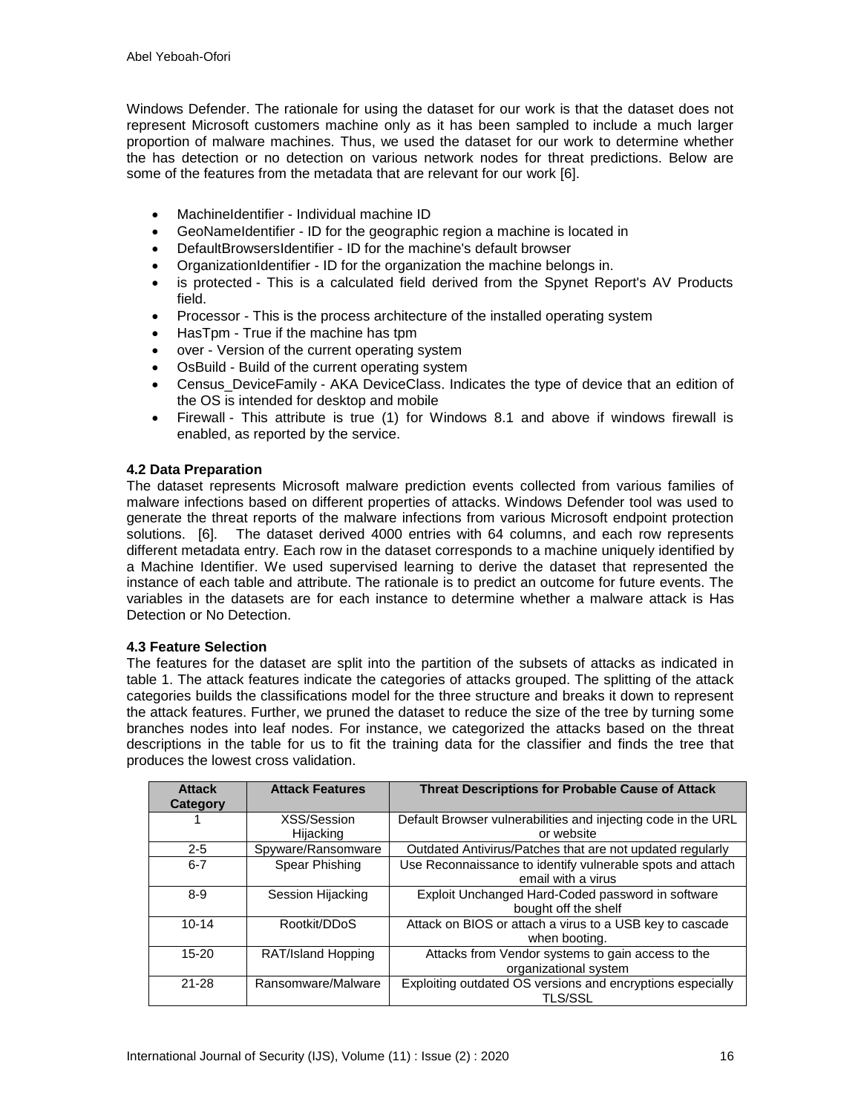Windows Defender. The rationale for using the dataset for our work is that the dataset does not represent Microsoft customers machine only as it has been sampled to include a much larger proportion of malware machines. Thus, we used the dataset for our work to determine whether the has detection or no detection on various network nodes for threat predictions. Below are some of the features from the metadata that are relevant for our work [6].

- MachineIdentifier Individual machine ID
- GeoNameIdentifier ID for the geographic region a machine is located in
- DefaultBrowsersIdentifier ID for the machine's default browser
- OrganizationIdentifier ID for the organization the machine belongs in.
- is protected This is a calculated field derived from the Spynet Report's AV Products field.
- Processor This is the process architecture of the installed operating system
- HasTpm True if the machine has tpm
- over Version of the current operating system
- OsBuild Build of the current operating system
- Census DeviceFamily AKA DeviceClass. Indicates the type of device that an edition of the OS is intended for desktop and mobile
- Firewall This attribute is true (1) for Windows 8.1 and above if windows firewall is enabled, as reported by the service.

#### **4.2 Data Preparation**

The dataset represents Microsoft malware prediction events collected from various families of malware infections based on different properties of attacks. Windows Defender tool was used to generate the threat reports of the malware infections from various Microsoft endpoint protection solutions. [6]. The dataset derived 4000 entries with 64 columns, and each row represents different metadata entry. Each row in the dataset corresponds to a machine uniquely identified by a Machine Identifier. We used supervised learning to derive the dataset that represented the instance of each table and attribute. The rationale is to predict an outcome for future events. The variables in the datasets are for each instance to determine whether a malware attack is Has Detection or No Detection.

#### **4.3 Feature Selection**

The features for the dataset are split into the partition of the subsets of attacks as indicated in table 1. The attack features indicate the categories of attacks grouped. The splitting of the attack categories builds the classifications model for the three structure and breaks it down to represent the attack features. Further, we pruned the dataset to reduce the size of the tree by turning some branches nodes into leaf nodes. For instance, we categorized the attacks based on the threat descriptions in the table for us to fit the training data for the classifier and finds the tree that produces the lowest cross validation.

| <b>Attack</b><br>Category | <b>Attack Features</b> | <b>Threat Descriptions for Probable Cause of Attack</b>                          |
|---------------------------|------------------------|----------------------------------------------------------------------------------|
|                           | XSS/Session            | Default Browser vulnerabilities and injecting code in the URL<br>or website      |
|                           | Hijacking              |                                                                                  |
| $2 - 5$                   | Spyware/Ransomware     | Outdated Antivirus/Patches that are not updated regularly                        |
| $6 - 7$                   | Spear Phishing         | Use Reconnaissance to identify vulnerable spots and attach<br>email with a virus |
| $8-9$                     | Session Hijacking      | Exploit Unchanged Hard-Coded password in software<br>bought off the shelf        |
| $10 - 14$                 | Rootkit/DDoS           | Attack on BIOS or attach a virus to a USB key to cascade<br>when booting.        |
| $15 - 20$                 | RAT/Island Hopping     | Attacks from Vendor systems to gain access to the<br>organizational system       |
| $21 - 28$                 | Ransomware/Malware     | Exploiting outdated OS versions and encryptions especially<br><b>TLS/SSL</b>     |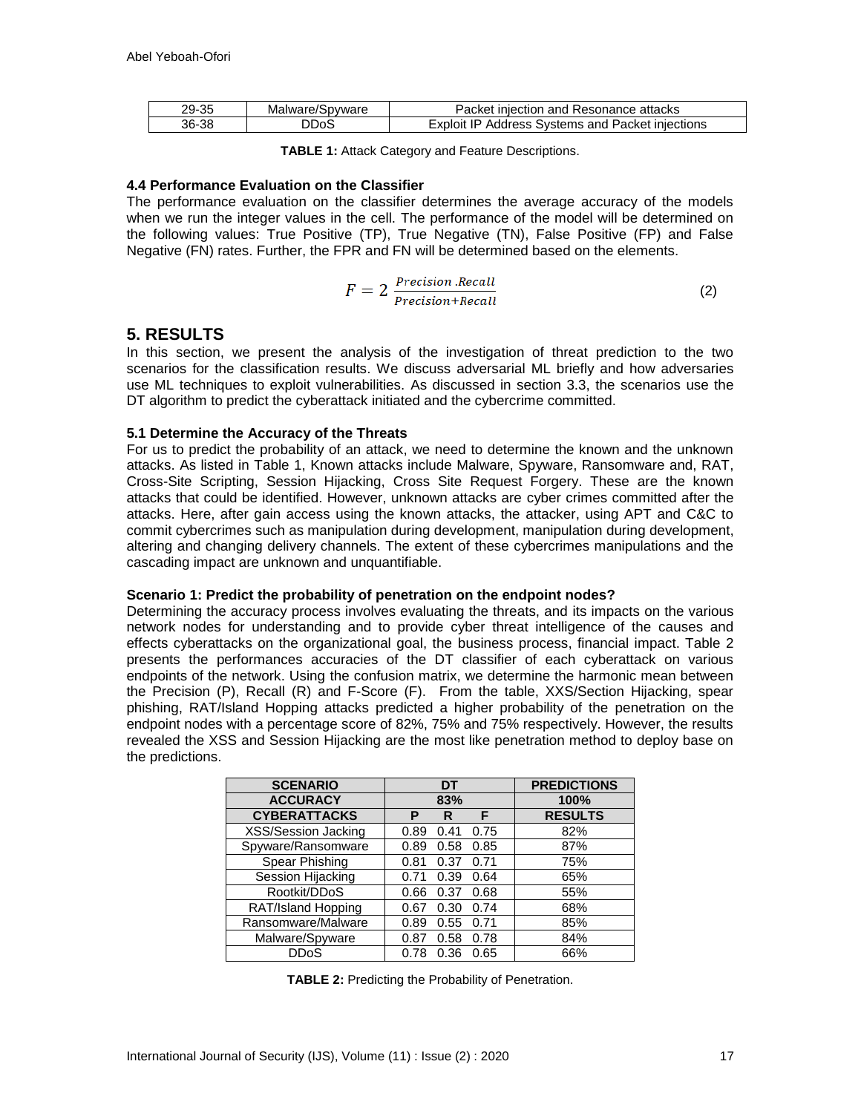| 29-35 | Malware/Spyware | Packet injection and Resonance attacks           |
|-------|-----------------|--------------------------------------------------|
| 36-38 | )DoS            | Exploit IP Address Systems and Packet injections |

**TABLE 1:** Attack Category and Feature Descriptions.

#### **4.4 Performance Evaluation on the Classifier**

The performance evaluation on the classifier determines the average accuracy of the models when we run the integer values in the cell. The performance of the model will be determined on the following values: True Positive (TP), True Negative (TN), False Positive (FP) and False Negative (FN) rates. Further, the FPR and FN will be determined based on the elements.

$$
F = 2 \frac{Precision \cdot Recall}{Precision + Recall}
$$
 (2)

# **5. RESULTS**

In this section, we present the analysis of the investigation of threat prediction to the two scenarios for the classification results. We discuss adversarial ML briefly and how adversaries use ML techniques to exploit vulnerabilities. As discussed in section 3.3, the scenarios use the DT algorithm to predict the cyberattack initiated and the cybercrime committed.

#### **5.1 Determine the Accuracy of the Threats**

For us to predict the probability of an attack, we need to determine the known and the unknown attacks. As listed in Table 1, Known attacks include Malware, Spyware, Ransomware and, RAT, Cross-Site Scripting, Session Hijacking, Cross Site Request Forgery. These are the known attacks that could be identified. However, unknown attacks are cyber crimes committed after the attacks. Here, after gain access using the known attacks, the attacker, using APT and C&C to commit cybercrimes such as manipulation during development, manipulation during development, altering and changing delivery channels. The extent of these cybercrimes manipulations and the cascading impact are unknown and unquantifiable.

#### **Scenario 1: Predict the probability of penetration on the endpoint nodes?**

Determining the accuracy process involves evaluating the threats, and its impacts on the various network nodes for understanding and to provide cyber threat intelligence of the causes and effects cyberattacks on the organizational goal, the business process, financial impact. Table 2 presents the performances accuracies of the DT classifier of each cyberattack on various endpoints of the network. Using the confusion matrix, we determine the harmonic mean between the Precision (P), Recall (R) and F-Score (F). From the table, XXS/Section Hijacking, spear phishing, RAT/Island Hopping attacks predicted a higher probability of the penetration on the endpoint nodes with a percentage score of 82%, 75% and 75% respectively. However, the results revealed the XSS and Session Hijacking are the most like penetration method to deploy base on the predictions.

| <b>SCENARIO</b>     | DT   |      |      | <b>PREDICTIONS</b> |
|---------------------|------|------|------|--------------------|
| <b>ACCURACY</b>     | 83%  |      |      | 100%               |
| <b>CYBERATTACKS</b> | Р    | R    | F    | <b>RESULTS</b>     |
| XSS/Session Jacking | 0.89 | 0.41 | 0.75 | 82%                |
| Spyware/Ransomware  | 0.89 | 0.58 | 0.85 | 87%                |
| Spear Phishing      | 0.81 | 0.37 | 0.71 | 75%                |
| Session Hijacking   | 0.71 | 0.39 | 0.64 | 65%                |
| Rootkit/DDoS        | 0.66 | 0.37 | 0.68 | 55%                |
| RAT/Island Hopping  | 0.67 | 0.30 | 0.74 | 68%                |
| Ransomware/Malware  | 0.89 | 0.55 | 0.71 | 85%                |
| Malware/Spyware     | 0.87 | 0.58 | 0.78 | 84%                |
| DDoS                | 0.78 | 0.36 | 0.65 | 66%                |

**TABLE 2:** Predicting the Probability of Penetration.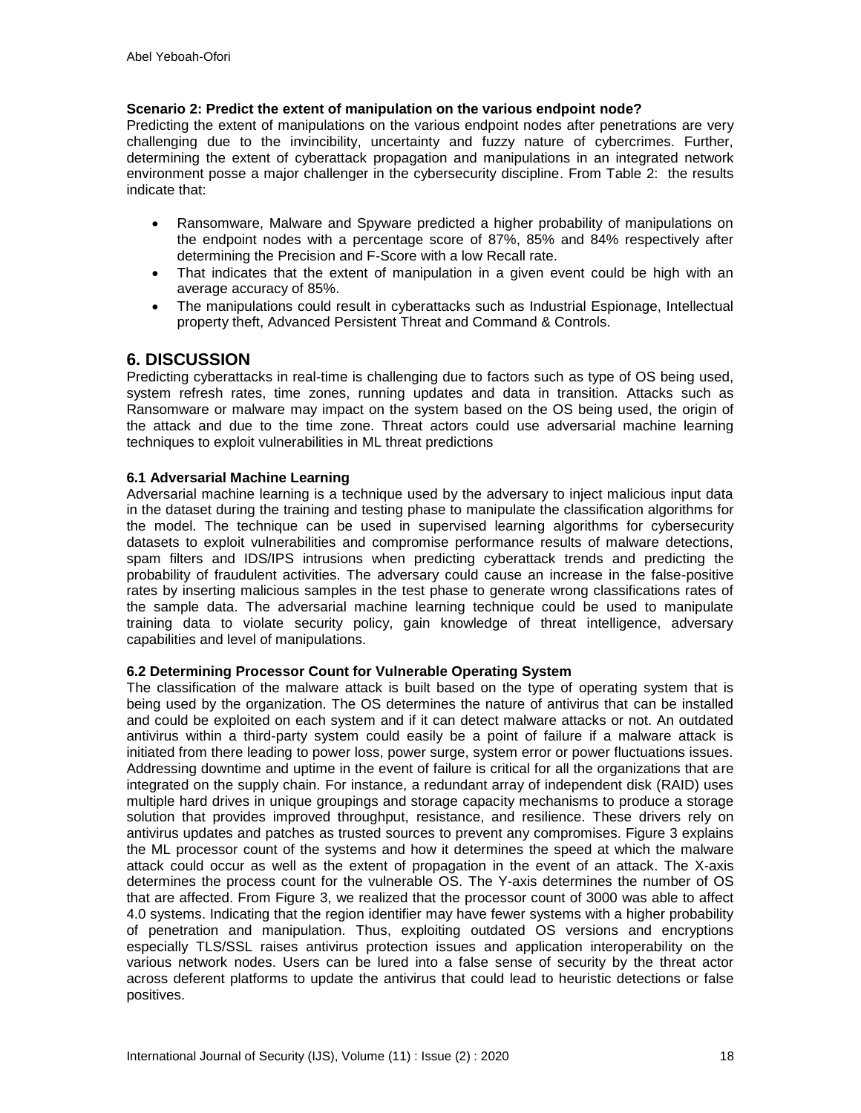#### **Scenario 2: Predict the extent of manipulation on the various endpoint node?**

Predicting the extent of manipulations on the various endpoint nodes after penetrations are very challenging due to the invincibility, uncertainty and fuzzy nature of cybercrimes. Further, determining the extent of cyberattack propagation and manipulations in an integrated network environment posse a major challenger in the cybersecurity discipline. From Table 2: the results indicate that:

- Ransomware, Malware and Spyware predicted a higher probability of manipulations on the endpoint nodes with a percentage score of 87%, 85% and 84% respectively after determining the Precision and F-Score with a low Recall rate.
- That indicates that the extent of manipulation in a given event could be high with an average accuracy of 85%.
- The manipulations could result in cyberattacks such as Industrial Espionage, Intellectual property theft, Advanced Persistent Threat and Command & Controls.

# **6. DISCUSSION**

Predicting cyberattacks in real-time is challenging due to factors such as type of OS being used, system refresh rates, time zones, running updates and data in transition. Attacks such as Ransomware or malware may impact on the system based on the OS being used, the origin of the attack and due to the time zone. Threat actors could use adversarial machine learning techniques to exploit vulnerabilities in ML threat predictions

#### **6.1 Adversarial Machine Learning**

Adversarial machine learning is a technique used by the adversary to inject malicious input data in the dataset during the training and testing phase to manipulate the classification algorithms for the model. The technique can be used in supervised learning algorithms for cybersecurity datasets to exploit vulnerabilities and compromise performance results of malware detections, spam filters and IDS/IPS intrusions when predicting cyberattack trends and predicting the probability of fraudulent activities. The adversary could cause an increase in the false-positive rates by inserting malicious samples in the test phase to generate wrong classifications rates of the sample data. The adversarial machine learning technique could be used to manipulate training data to violate security policy, gain knowledge of threat intelligence, adversary capabilities and level of manipulations.

#### **6.2 Determining Processor Count for Vulnerable Operating System**

The classification of the malware attack is built based on the type of operating system that is being used by the organization. The OS determines the nature of antivirus that can be installed and could be exploited on each system and if it can detect malware attacks or not. An outdated antivirus within a third-party system could easily be a point of failure if a malware attack is initiated from there leading to power loss, power surge, system error or power fluctuations issues. Addressing downtime and uptime in the event of failure is critical for all the organizations that are integrated on the supply chain. For instance, a redundant array of independent disk (RAID) uses multiple hard drives in unique groupings and storage capacity mechanisms to produce a storage solution that provides improved throughput, resistance, and resilience. These drivers rely on antivirus updates and patches as trusted sources to prevent any compromises. Figure 3 explains the ML processor count of the systems and how it determines the speed at which the malware attack could occur as well as the extent of propagation in the event of an attack. The X-axis determines the process count for the vulnerable OS. The Y-axis determines the number of OS that are affected. From Figure 3, we realized that the processor count of 3000 was able to affect 4.0 systems. Indicating that the region identifier may have fewer systems with a higher probability of penetration and manipulation. Thus, exploiting outdated OS versions and encryptions especially TLS/SSL raises antivirus protection issues and application interoperability on the various network nodes. Users can be lured into a false sense of security by the threat actor across deferent platforms to update the antivirus that could lead to heuristic detections or false positives.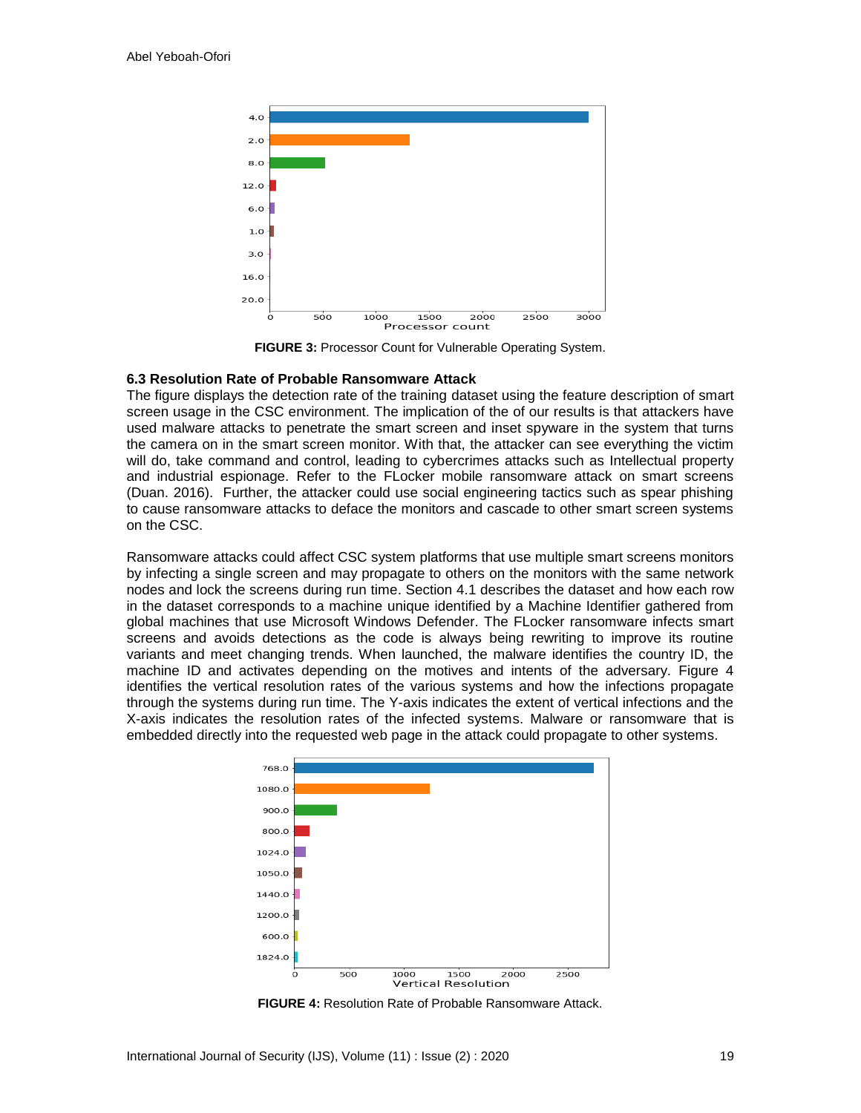

**FIGURE 3:** Processor Count for Vulnerable Operating System.

#### **6.3 Resolution Rate of Probable Ransomware Attack**

The figure displays the detection rate of the training dataset using the feature description of smart screen usage in the CSC environment. The implication of the of our results is that attackers have used malware attacks to penetrate the smart screen and inset spyware in the system that turns the camera on in the smart screen monitor. With that, the attacker can see everything the victim will do, take command and control, leading to cybercrimes attacks such as Intellectual property and industrial espionage. Refer to the FLocker mobile ransomware attack on smart screens (Duan. 2016). Further, the attacker could use social engineering tactics such as spear phishing to cause ransomware attacks to deface the monitors and cascade to other smart screen systems on the CSC.

Ransomware attacks could affect CSC system platforms that use multiple smart screens monitors by infecting a single screen and may propagate to others on the monitors with the same network nodes and lock the screens during run time. Section 4.1 describes the dataset and how each row in the dataset corresponds to a machine unique identified by a Machine Identifier gathered from global machines that use Microsoft Windows Defender. The FLocker ransomware infects smart screens and avoids detections as the code is always being rewriting to improve its routine variants and meet changing trends. When launched, the malware identifies the country ID, the machine ID and activates depending on the motives and intents of the adversary. Figure 4 identifies the vertical resolution rates of the various systems and how the infections propagate through the systems during run time. The Y-axis indicates the extent of vertical infections and the X-axis indicates the resolution rates of the infected systems. Malware or ransomware that is embedded directly into the requested web page in the attack could propagate to other systems.



**FIGURE 4:** Resolution Rate of Probable Ransomware Attack.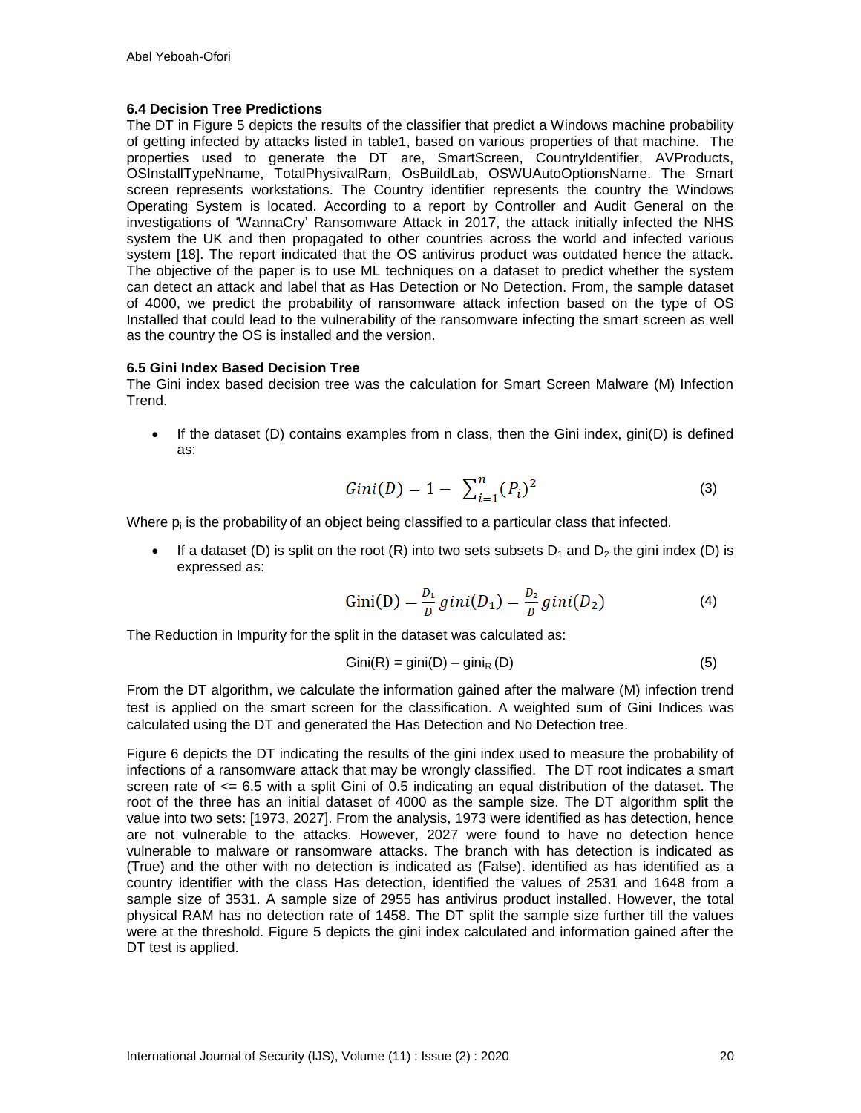#### **6.4 Decision Tree Predictions**

The DT in Figure 5 depicts the results of the classifier that predict a Windows machine probability of getting infected by attacks listed in table1, based on various properties of that machine. The properties used to generate the DT are, SmartScreen, CountryIdentifier, AVProducts, OSInstallTypeNname, TotalPhysivalRam, OsBuildLab, OSWUAutoOptionsName. The Smart screen represents workstations. The Country identifier represents the country the Windows Operating System is located. According to a report by Controller and Audit General on the investigations of 'WannaCry' Ransomware Attack in 2017, the attack initially infected the NHS system the UK and then propagated to other countries across the world and infected various system [18]. The report indicated that the OS antivirus product was outdated hence the attack. The objective of the paper is to use ML techniques on a dataset to predict whether the system can detect an attack and label that as Has Detection or No Detection. From, the sample dataset of 4000, we predict the probability of ransomware attack infection based on the type of OS Installed that could lead to the vulnerability of the ransomware infecting the smart screen as well as the country the OS is installed and the version.

#### **6.5 Gini Index Based Decision Tree**

The Gini index based decision tree was the calculation for Smart Screen Malware (M) Infection Trend.

 $\bullet$  If the dataset (D) contains examples from n class, then the Gini index, gini(D) is defined as:

$$
Gini(D) = 1 - \sum_{i=1}^{n} (P_i)^2
$$
 (3)

Where  $p_i$  is the probability of an object being classified to a particular class that infected.

If a dataset (D) is split on the root (R) into two sets subsets  $D_1$  and  $D_2$  the gini index (D) is expressed as:

Gini(D) = 
$$
\frac{D_1}{D}
$$
gini(D<sub>1</sub>) =  $\frac{D_2}{D}$ gini(D<sub>2</sub>) (4)

The Reduction in Impurity for the split in the dataset was calculated as:

$$
Gini(R) = gini(D) - giniR (D)
$$
 (5)

From the DT algorithm, we calculate the information gained after the malware (M) infection trend test is applied on the smart screen for the classification. A weighted sum of Gini Indices was calculated using the DT and generated the Has Detection and No Detection tree.

Figure 6 depicts the DT indicating the results of the gini index used to measure the probability of infections of a ransomware attack that may be wrongly classified. The DT root indicates a smart screen rate of  $\leq$  6.5 with a split Gini of 0.5 indicating an equal distribution of the dataset. The root of the three has an initial dataset of 4000 as the sample size. The DT algorithm split the value into two sets: [1973, 2027]. From the analysis, 1973 were identified as has detection, hence are not vulnerable to the attacks. However, 2027 were found to have no detection hence vulnerable to malware or ransomware attacks. The branch with has detection is indicated as (True) and the other with no detection is indicated as (False). identified as has identified as a country identifier with the class Has detection, identified the values of 2531 and 1648 from a sample size of 3531. A sample size of 2955 has antivirus product installed. However, the total physical RAM has no detection rate of 1458. The DT split the sample size further till the values were at the threshold. Figure 5 depicts the gini index calculated and information gained after the DT test is applied.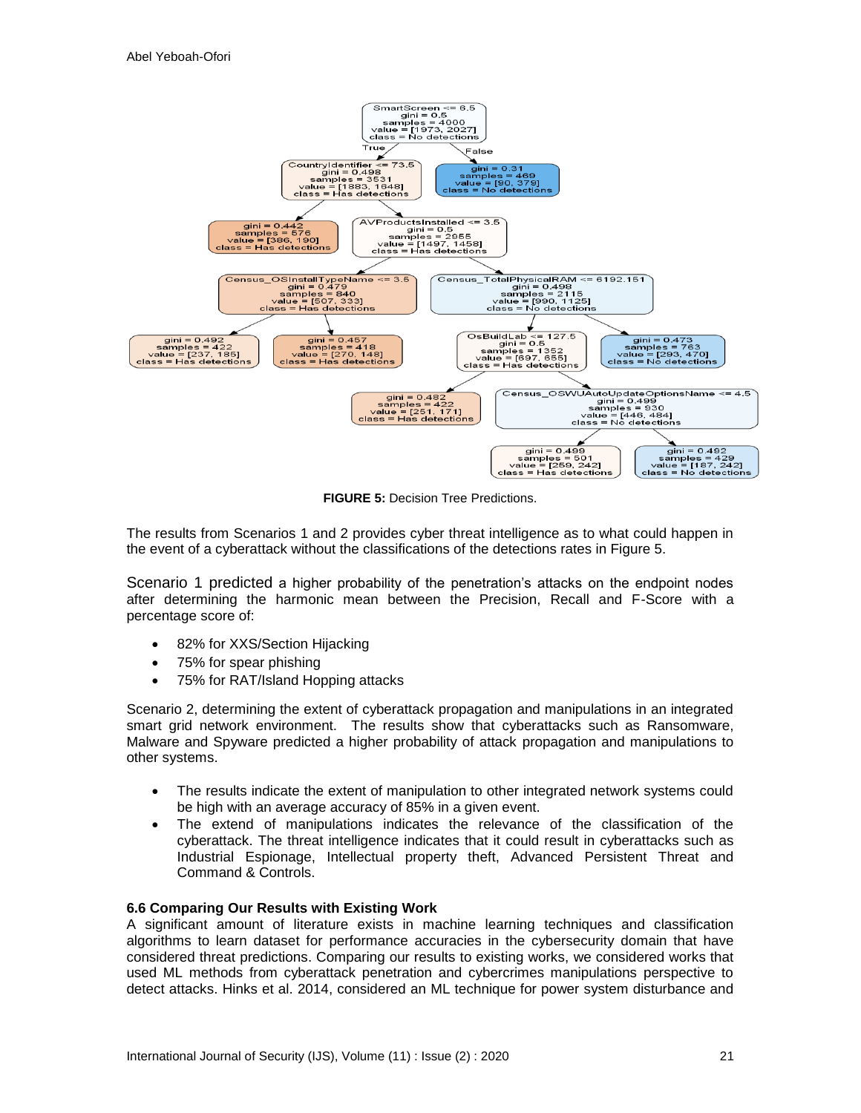

**FIGURE 5:** Decision Tree Predictions.

The results from Scenarios 1 and 2 provides cyber threat intelligence as to what could happen in the event of a cyberattack without the classifications of the detections rates in Figure 5.

Scenario 1 predicted a higher probability of the penetration's attacks on the endpoint nodes after determining the harmonic mean between the Precision, Recall and F-Score with a percentage score of:

- 82% for XXS/Section Hijacking
- 75% for spear phishing
- 75% for RAT/Island Hopping attacks

Scenario 2, determining the extent of cyberattack propagation and manipulations in an integrated smart grid network environment. The results show that cyberattacks such as Ransomware, Malware and Spyware predicted a higher probability of attack propagation and manipulations to other systems.

- The results indicate the extent of manipulation to other integrated network systems could be high with an average accuracy of 85% in a given event.
- The extend of manipulations indicates the relevance of the classification of the cyberattack. The threat intelligence indicates that it could result in cyberattacks such as Industrial Espionage, Intellectual property theft, Advanced Persistent Threat and Command & Controls.

#### **6.6 Comparing Our Results with Existing Work**

A significant amount of literature exists in machine learning techniques and classification algorithms to learn dataset for performance accuracies in the cybersecurity domain that have considered threat predictions. Comparing our results to existing works, we considered works that used ML methods from cyberattack penetration and cybercrimes manipulations perspective to detect attacks. Hinks et al. 2014, considered an ML technique for power system disturbance and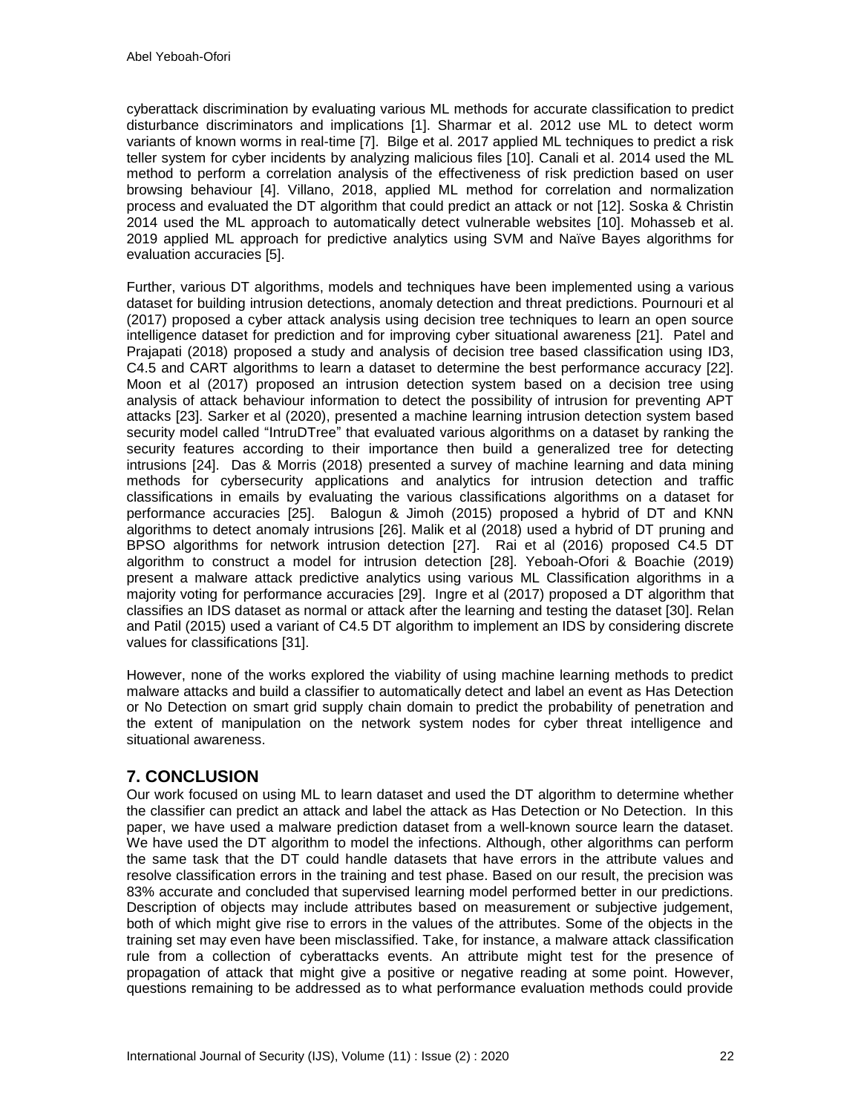cyberattack discrimination by evaluating various ML methods for accurate classification to predict disturbance discriminators and implications [1]. Sharmar et al. 2012 use ML to detect worm variants of known worms in real-time [7]. Bilge et al. 2017 applied ML techniques to predict a risk teller system for cyber incidents by analyzing malicious files [10]. Canali et al. 2014 used the ML method to perform a correlation analysis of the effectiveness of risk prediction based on user browsing behaviour [4]. Villano, 2018, applied ML method for correlation and normalization process and evaluated the DT algorithm that could predict an attack or not [12]. Soska & Christin 2014 used the ML approach to automatically detect vulnerable websites [10]. Mohasseb et al. 2019 applied ML approach for predictive analytics using SVM and Naïve Bayes algorithms for evaluation accuracies [5].

Further, various DT algorithms, models and techniques have been implemented using a various dataset for building intrusion detections, anomaly detection and threat predictions. Pournouri et al (2017) proposed a cyber attack analysis using decision tree techniques to learn an open source intelligence dataset for prediction and for improving cyber situational awareness [21]. Patel and Prajapati (2018) proposed a study and analysis of decision tree based classification using ID3, C4.5 and CART algorithms to learn a dataset to determine the best performance accuracy [22]. Moon et al (2017) proposed an intrusion detection system based on a decision tree using analysis of attack behaviour information to detect the possibility of intrusion for preventing APT attacks [23]. Sarker et al (2020), presented a machine learning intrusion detection system based security model called "IntruDTree" that evaluated various algorithms on a dataset by ranking the security features according to their importance then build a generalized tree for detecting intrusions [24]. Das & Morris (2018) presented a survey of machine learning and data mining methods for cybersecurity applications and analytics for intrusion detection and traffic classifications in emails by evaluating the various classifications algorithms on a dataset for performance accuracies [25]. Balogun & Jimoh (2015) proposed a hybrid of DT and KNN algorithms to detect anomaly intrusions [26]. Malik et al (2018) used a hybrid of DT pruning and BPSO algorithms for network intrusion detection [27]. Rai et al (2016) proposed C4.5 DT algorithm to construct a model for intrusion detection [28]. Yeboah-Ofori & Boachie (2019) present a malware attack predictive analytics using various ML Classification algorithms in a majority voting for performance accuracies [29]. Ingre et al (2017) proposed a DT algorithm that classifies an IDS dataset as normal or attack after the learning and testing the dataset [30]. Relan and Patil (2015) used a variant of C4.5 DT algorithm to implement an IDS by considering discrete values for classifications [31].

However, none of the works explored the viability of using machine learning methods to predict malware attacks and build a classifier to automatically detect and label an event as Has Detection or No Detection on smart grid supply chain domain to predict the probability of penetration and the extent of manipulation on the network system nodes for cyber threat intelligence and situational awareness.

# **7. CONCLUSION**

Our work focused on using ML to learn dataset and used the DT algorithm to determine whether the classifier can predict an attack and label the attack as Has Detection or No Detection. In this paper, we have used a malware prediction dataset from a well-known source learn the dataset. We have used the DT algorithm to model the infections. Although, other algorithms can perform the same task that the DT could handle datasets that have errors in the attribute values and resolve classification errors in the training and test phase. Based on our result, the precision was 83% accurate and concluded that supervised learning model performed better in our predictions. Description of objects may include attributes based on measurement or subjective judgement, both of which might give rise to errors in the values of the attributes. Some of the objects in the training set may even have been misclassified. Take, for instance, a malware attack classification rule from a collection of cyberattacks events. An attribute might test for the presence of propagation of attack that might give a positive or negative reading at some point. However, questions remaining to be addressed as to what performance evaluation methods could provide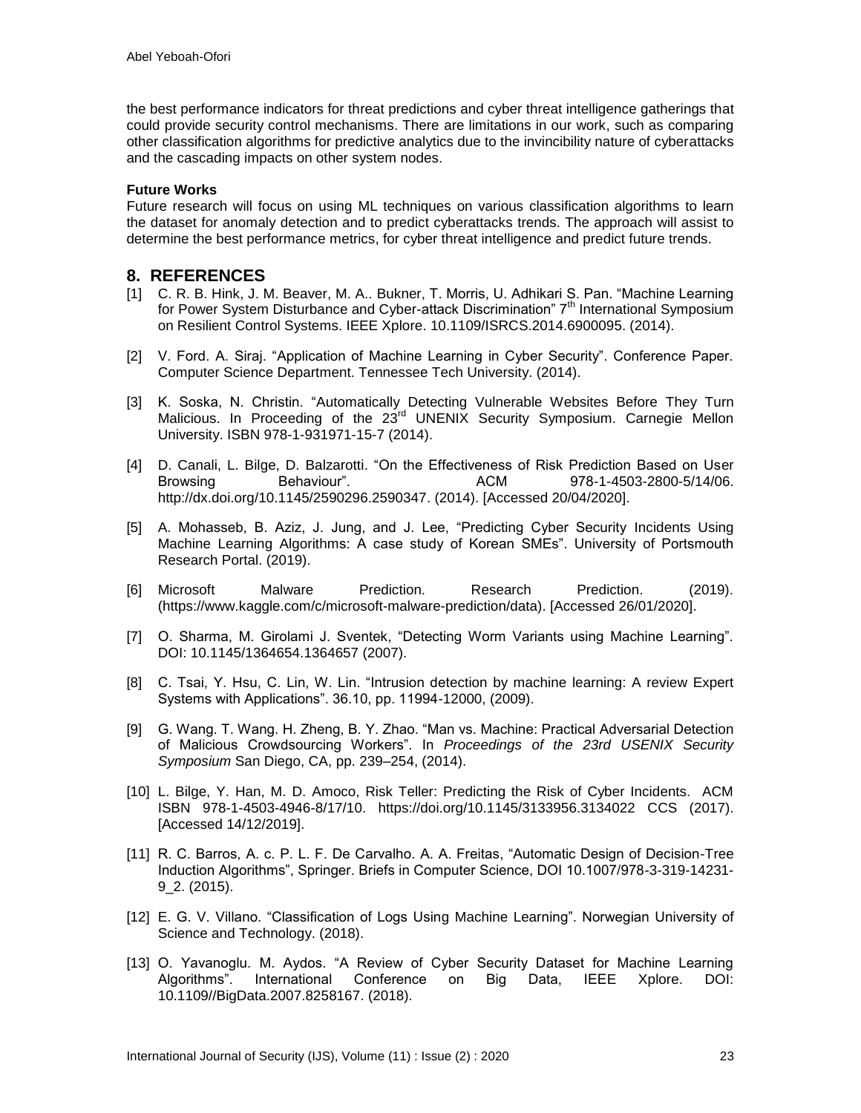the best performance indicators for threat predictions and cyber threat intelligence gatherings that could provide security control mechanisms. There are limitations in our work, such as comparing other classification algorithms for predictive analytics due to the invincibility nature of cyberattacks and the cascading impacts on other system nodes.

#### **Future Works**

Future research will focus on using ML techniques on various classification algorithms to learn the dataset for anomaly detection and to predict cyberattacks trends. The approach will assist to determine the best performance metrics, for cyber threat intelligence and predict future trends.

## **8. REFERENCES**

- [1] C. R. B. Hink, J. M. Beaver, M. A.. Bukner, T. Morris, U. Adhikari S. Pan. "Machine Learning for Power System Disturbance and Cyber-attack Discrimination" 7<sup>th</sup> International Symposium on Resilient Control Systems. IEEE Xplore. 10.1109/ISRCS.2014.6900095. (2014).
- [2] V. Ford. A. Siraj. "Application of Machine Learning in Cyber Security". Conference Paper. Computer Science Department. Tennessee Tech University. (2014).
- [3] K. Soska, N. Christin. "Automatically Detecting Vulnerable Websites Before They Turn Malicious. In Proceeding of the 23<sup>rd</sup> UNENIX Security Symposium. Carnegie Mellon University. ISBN 978-1-931971-15-7 (2014).
- [4] D. Canali, L. Bilge, D. Balzarotti. "On the Effectiveness of Risk Prediction Based on User Browsing Behaviour". ACM 978-1-4503-2800-5/14/06. [http://dx.doi.org/10.1145/2590296.2590347.](http://dx.doi.org/10.1145/2590296.2590347) (2014). [Accessed 20/04/2020].
- [5] A. Mohasseb, B. Aziz, J. Jung, and J. Lee, "Predicting Cyber Security Incidents Using Machine Learning Algorithms: A case study of Korean SMEs". University of Portsmouth Research Portal. (2019).
- [6] Microsoft Malware Prediction. Research Prediction. (2019). [\(https://www.kaggle.com/c/microsoft-malware-prediction/data\)](https://www.kaggle.com/c/microsoft-malware-prediction/data). [Accessed 26/01/2020].
- [7] O. Sharma, M. Girolami J. Sventek, "Detecting Worm Variants using Machine Learning". DOI: 10.1145/1364654.1364657 (2007).
- [8] C. Tsai, Y. Hsu, C. Lin, W. Lin. "Intrusion detection by machine learning: A review Expert Systems with Applications". 36.10, pp. 11994-12000, (2009).
- [9] G. Wang. T. Wang. H. Zheng, B. Y. Zhao. "Man vs. Machine: Practical Adversarial Detection of Malicious Crowdsourcing Workers". In *Proceedings of the 23rd USENIX Security Symposium* San Diego, CA, pp. 239–254, (2014).
- [10] L. Bilge, Y. Han, M. D. Amoco, Risk Teller: Predicting the Risk of Cyber Incidents. ACM ISBN 978-1-4503-4946-8/17/10. <https://doi.org/10.1145/3133956.3134022> CCS (2017). [Accessed 14/12/2019].
- [11] R. C. Barros, A. c. P. L. F. De Carvalho. A. A. Freitas, "Automatic Design of Decision-Tree Induction Algorithms", Springer. Briefs in Computer Science, DOI 10.1007/978-3-319-14231- 9\_2. (2015).
- [12] E. G. V. Villano. "Classification of Logs Using Machine Learning". Norwegian University of Science and Technology. (2018).
- [13] O. Yavanoglu. M. Aydos. "A Review of Cyber Security Dataset for Machine Learning Algorithms". International Conference on Big Data, IEEE Xplore. DOI: 10.1109//BigData.2007.8258167. (2018).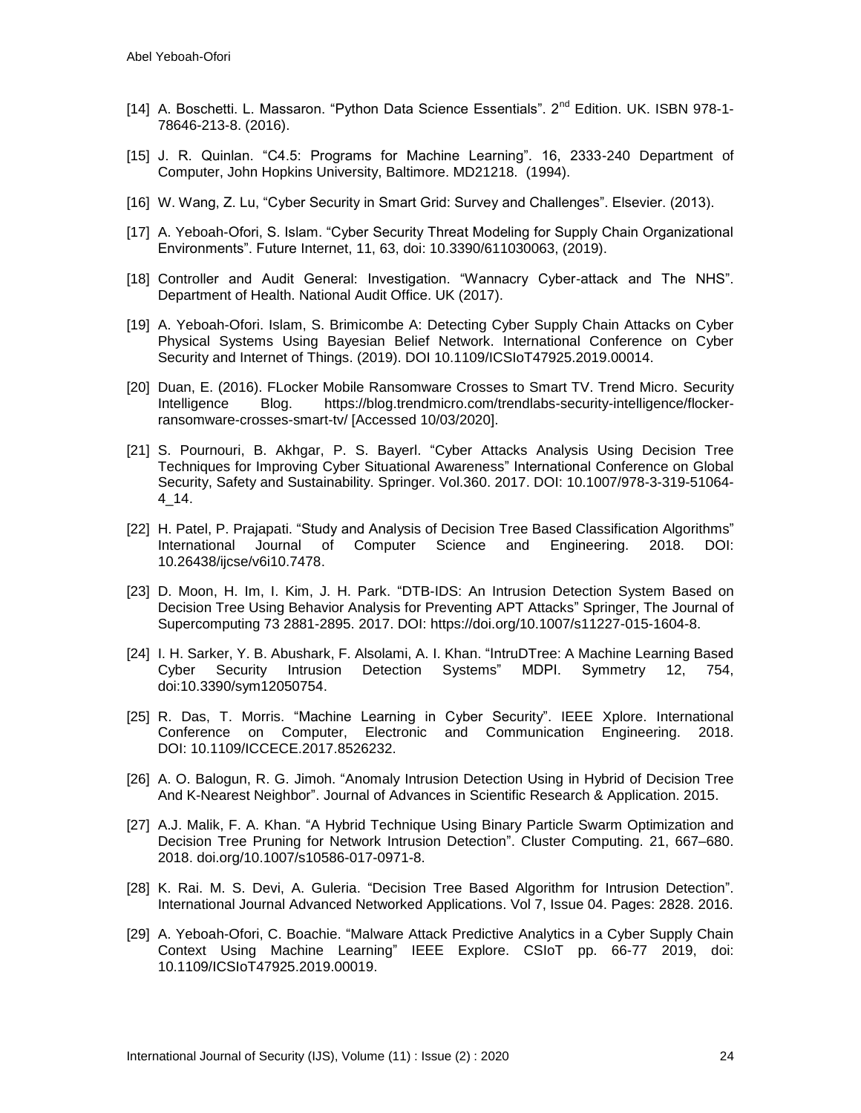- [14] A. Boschetti. L. Massaron. "Python Data Science Essentials". 2<sup>nd</sup> Edition. UK. ISBN 978-1-78646-213-8. (2016).
- [15] J. R. Quinlan. "C4.5: Programs for Machine Learning". 16, 2333-240 Department of Computer, John Hopkins University, Baltimore. MD21218. (1994).
- [16] W. Wang, Z. Lu, "Cyber Security in Smart Grid: Survey and Challenges". Elsevier. (2013).
- [17] A. Yeboah-Ofori, S. Islam. "Cyber Security Threat Modeling for Supply Chain Organizational Environments". Future Internet, 11, 63, doi: 10.3390/611030063, (2019).
- [18] Controller and Audit General: Investigation. "Wannacry Cyber-attack and The NHS". Department of Health. National Audit Office. UK (2017).
- [19] A. Yeboah-Ofori. Islam, S. Brimicombe A: Detecting Cyber Supply Chain Attacks on Cyber Physical Systems Using Bayesian Belief Network. International Conference on Cyber Security and Internet of Things. (2019). DOI 10.1109/ICSIoT47925.2019.00014.
- [20] Duan, E. (2016). FLocker Mobile Ransomware Crosses to Smart TV. Trend Micro. Security Intelligence Blog. https://blog.trendmicro.com/trendlabs-security-intelligence/flockerransomware-crosses-smart-tv/ [Accessed 10/03/2020].
- [21] S. Pournouri, B. Akhgar, P. S. Bayerl. "Cyber Attacks Analysis Using Decision Tree Techniques for Improving Cyber Situational Awareness" International Conference on Global Security, Safety and Sustainability. Springer. Vol.360. 2017. DOI: [10.1007/978-3-319-51064-](https://www.researchgate.net/deref/http%3A%2F%2Fdx.doi.org%2F10.1007%2F978-3-319-51064-4_14?_sg%5B0%5D=IVD8FDcw0VrVLFNaHJUAHRi5U2LFHf6oaeBL18IdV7BcLcuXw8PI0z9i98seTTGcIpNlOHimRcCYeHWGnn8WJtfHtA.9BbDzm9XR8WM_2xvorN5NeRFZEg1Nr0jADagVq3baE3aDBXXYaedzltrRn_twzz8ab7qj3OPPLLcbkv6nnaXdw) [4\\_14.](https://www.researchgate.net/deref/http%3A%2F%2Fdx.doi.org%2F10.1007%2F978-3-319-51064-4_14?_sg%5B0%5D=IVD8FDcw0VrVLFNaHJUAHRi5U2LFHf6oaeBL18IdV7BcLcuXw8PI0z9i98seTTGcIpNlOHimRcCYeHWGnn8WJtfHtA.9BbDzm9XR8WM_2xvorN5NeRFZEg1Nr0jADagVq3baE3aDBXXYaedzltrRn_twzz8ab7qj3OPPLLcbkv6nnaXdw)
- [22] H. Patel, P. Prajapati. "Study and Analysis of Decision Tree Based Classification Algorithms" International Journal of Computer Science and Engineering. 2018. DOI: 10.26438/ijcse/v6i10.7478.
- [23] D. Moon, H. Im, I. Kim, J. H. Park. "DTB-IDS: An Intrusion Detection System Based on Decision Tree Using Behavior Analysis for Preventing APT Attacks" Springer, The Journal of Supercomputing 73 2881-2895. 2017. DOI: [https://doi.org/10.1007/s11227-015-1604-8.](https://doi.org/10.1007/s11227-015-1604-8)
- [24] I. H. Sarker, Y. B. Abushark, F. Alsolami, A. I. Khan. "IntruDTree: A Machine Learning Based Cyber Security Intrusion Detection Systems" MDPI. Symmetry 12, 754, doi:10.3390/sym12050754.
- [25] R. Das, T. Morris. "Machine Learning in Cyber Security". IEEE Xplore. International Conference on Computer, Electronic and Communication Engineering. 2018. DOI: [10.1109/ICCECE.2017.8526232.](https://doi.org/10.1109/ICCECE.2017.8526232)
- [26] A. O. Balogun, R. G. Jimoh. "Anomaly Intrusion Detection Using in Hybrid of Decision Tree And K-Nearest Neighbor". Journal of Advances in Scientific Research & Application. 2015.
- [27] A.J. Malik, F. A. Khan. "A Hybrid Technique Using Binary Particle Swarm Optimization and Decision Tree Pruning for Network Intrusion Detection". Cluster Computing. 21, 667–680. 2018. doi.org/10.1007/s10586-017-0971-8.
- [28] K. Rai. M. S. Devi, A. Guleria. "Decision Tree Based Algorithm for Intrusion Detection". International Journal Advanced Networked Applications. Vol 7, Issue 04. Pages: 2828. 2016.
- [29] A. Yeboah-Ofori, C. Boachie. "Malware Attack Predictive Analytics in a Cyber Supply Chain Context Using Machine Learning" IEEE Explore. CSIoT pp. 66-77 2019, doi: 10.1109/ICSIoT47925.2019.00019.